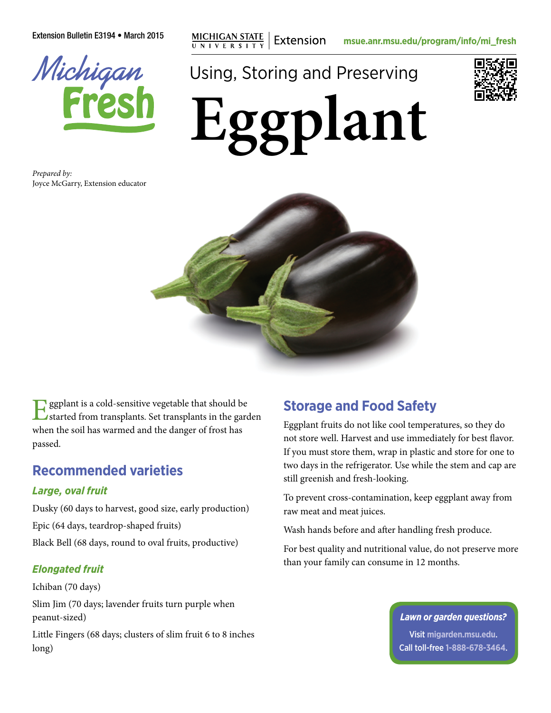Extension Bulletin E3194 • March 2015 **mg** MICHIGAN STATE | Extension **[msue.anr.msu.edu/program/info/mi\\_fresh](http://msue.anr.msu.edu/program/info/mi_fresh)** 



Using, Storing and Preserving



**Eggplant**

*Prepared by:* Joyce McGarry, Extension educator



**g** ggplant is a cold-sensitive vegetable that should be started from transplants. Set transplants in the garden when the soil has warmed and the danger of frost has passed.

## **Recommended varieties**

#### *Large, oval fruit*

Dusky (60 days to harvest, good size, early production) Epic (64 days, teardrop-shaped fruits) Black Bell (68 days, round to oval fruits, productive)

### *Elongated fruit*

Ichiban (70 days) Slim Jim (70 days; lavender fruits turn purple when peanut-sized)

Little Fingers (68 days; clusters of slim fruit 6 to 8 inches long)

# **Storage and Food Safety**

Eggplant fruits do not like cool temperatures, so they do not store well. Harvest and use immediately for best flavor. If you must store them, wrap in plastic and store for one to two days in the refrigerator. Use while the stem and cap are still greenish and fresh-looking.

To prevent cross-contamination, keep eggplant away from raw meat and meat juices.

Wash hands before and after handling fresh produce.

For best quality and nutritional value, do not preserve more than your family can consume in 12 months.

#### *Lawn or garden questions?*

Visit **[migarden.msu.edu](http://migarden.msu.edu)**. Call toll-free **1-888-678-3464**.